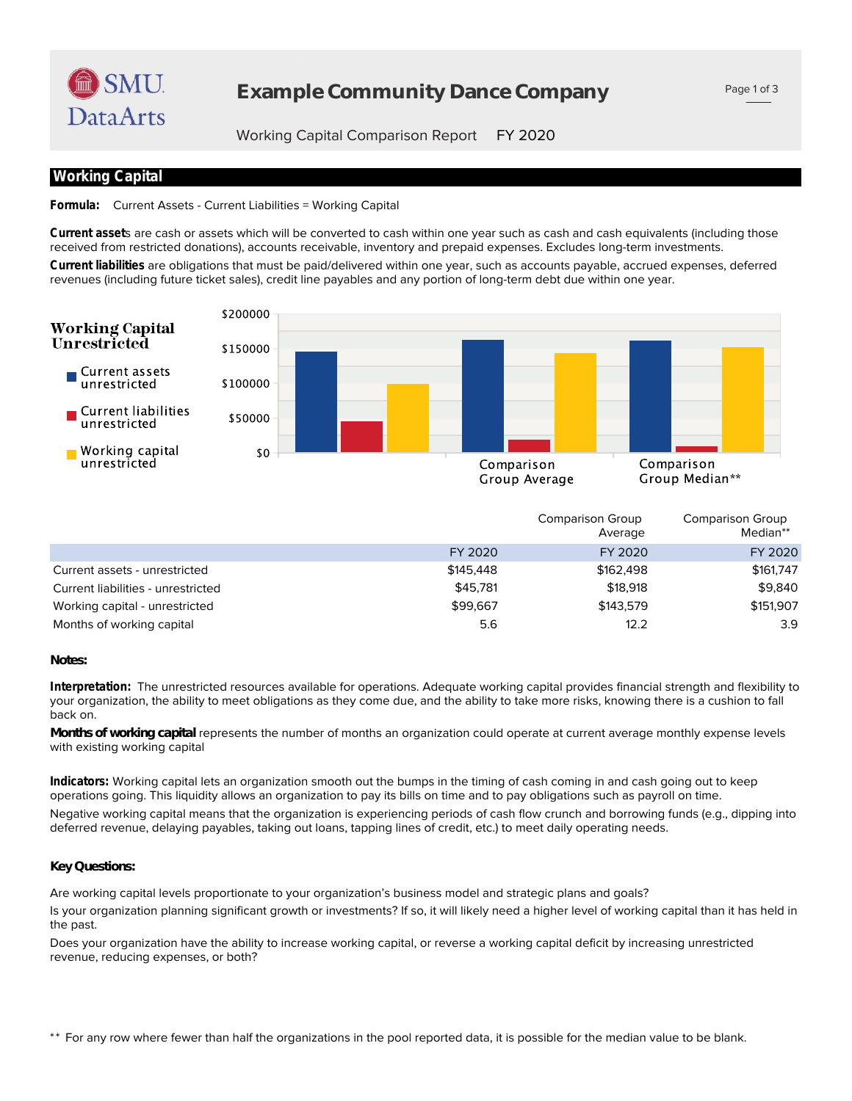

# **Example Community Dance Company**

Page 1 of 3

Working Capital Comparison Report FY 2020

## **Working Capital**

**Formula:** Current Assets - Current Liabilities = Working Capital

received from restricted donations), accounts receivable, inventory and prepaid expenses. Excludes long-term investments. **Current asset**s are cash or assets which will be converted to cash within one year such as cash and cash equivalents (including those

revenues (including future ticket sales), credit line payables and any portion of long-term debt due within one year. **Current liabilities** are obligations that must be paid/delivered within one year, such as accounts payable, accrued expenses, deferred



|                                    |           | Comparison Group<br>Average | <b>Comparison Group</b><br>Median** |
|------------------------------------|-----------|-----------------------------|-------------------------------------|
|                                    | FY 2020   | FY 2020                     | FY 2020                             |
| Current assets - unrestricted      | \$145,448 | \$162,498                   | \$161,747                           |
| Current liabilities - unrestricted | \$45,781  | \$18,918                    | \$9,840                             |
| Working capital - unrestricted     | \$99,667  | \$143.579                   | \$151,907                           |
| Months of working capital          | 5.6       | 12.2                        | 3.9                                 |

*Notes:*

back on. your organization, the ability to meet obligations as they come due, and the ability to take more risks, knowing there is a cushion to fall **Interpretation:** The unrestricted resources available for operations. Adequate working capital provides financial strength and flexibility to

with existing working capital *Months of working capital* represents the number of months an organization could operate at current average monthly expense levels

deferred revenue, delaying payables, taking out loans, tapping lines of credit, etc.) to meet daily operating needs. Negative working capital means that the organization is experiencing periods of cash flow crunch and borrowing funds (e.g., dipping into operations going. This liquidity allows an organization to pay its bills on time and to pay obligations such as payroll on time. **Indicators:** Working capital lets an organization smooth out the bumps in the timing of cash coming in and cash going out to keep

### *Key Questions:*

Are working capital levels proportionate to your organization's business model and strategic plans and goals?

the past. Is your organization planning significant growth or investments? If so, it will likely need a higher level of working capital than it has held in

revenue, reducing expenses, or both? Does your organization have the ability to increase working capital, or reverse a working capital deficit by increasing unrestricted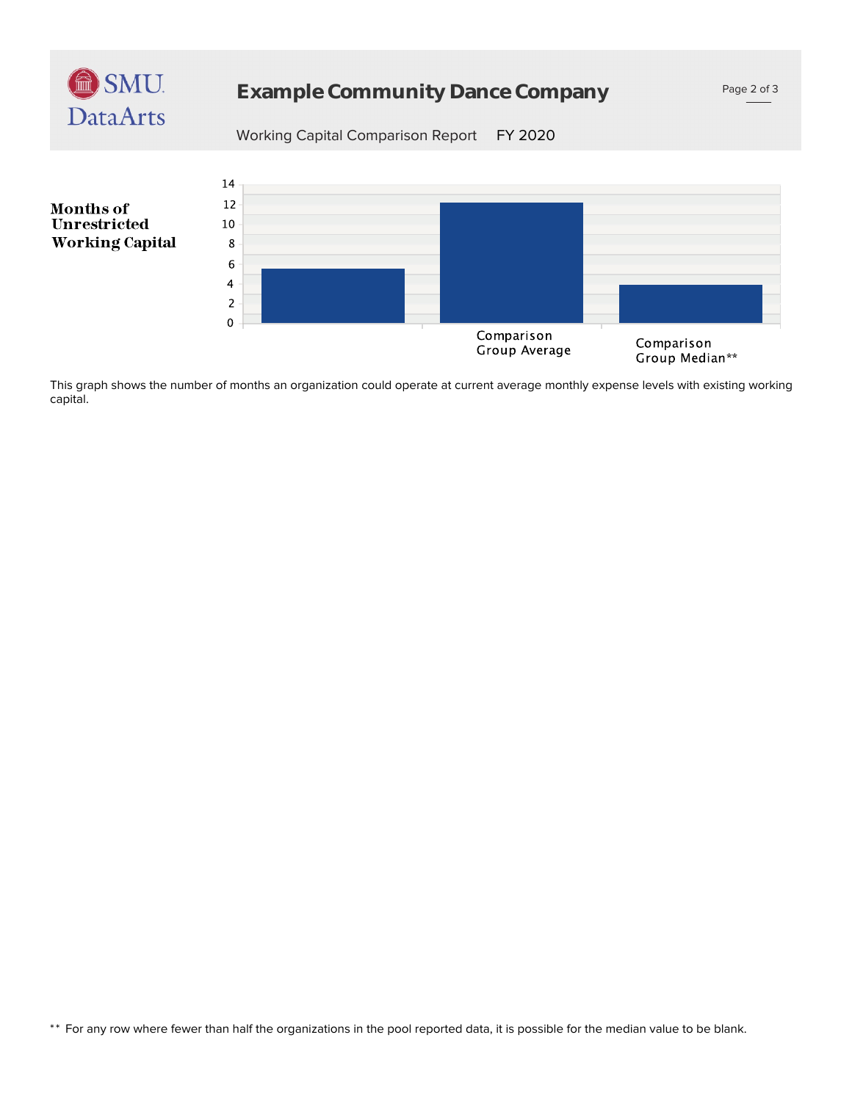

# **Example Community Dance Company**

Working Capital Comparison Report FY 2020



capital. This graph shows the number of months an organization could operate at current average monthly expense levels with existing working

\*\* For any row where fewer than half the organizations in the pool reported data, it is possible for the median value to be blank.